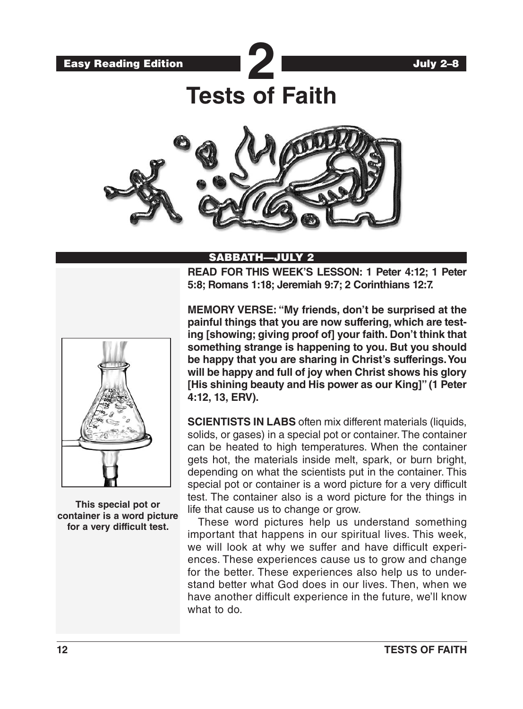

# SABBATH—JULY 2

**READ FOR THIS WEEK'S LESSON: 1 Peter 4:12; 1 Peter 5:8; Romans 1:18; Jeremiah 9:7; 2 Corinthians 12:7.**



**This special pot or container is a word picture for a very difficult test.**

**MEMORY VERSE: "My friends, don't be surprised at the painful things that you are now suffering, which are testing [showing; giving proof of] your faith. Don't think that something strange is happening to you. But you should be happy that you are sharing in Christ's sufferings. You will be happy and full of joy when Christ shows his glory [His shining beauty and His power as our King]" (1 Peter 4:12, 13, ERV).** 

**SCIENTISTS IN LABS** often mix different materials (liquids, solids, or gases) in a special pot or container. The container can be heated to high temperatures. When the container gets hot, the materials inside melt, spark, or burn bright, depending on what the scientists put in the container. This special pot or container is a word picture for a very difficult test. The container also is a word picture for the things in life that cause us to change or grow.

These word pictures help us understand something important that happens in our spiritual lives. This week, we will look at why we suffer and have difficult experiences. These experiences cause us to grow and change for the better. These experiences also help us to understand better what God does in our lives. Then, when we have another difficult experience in the future, we'll know what to do.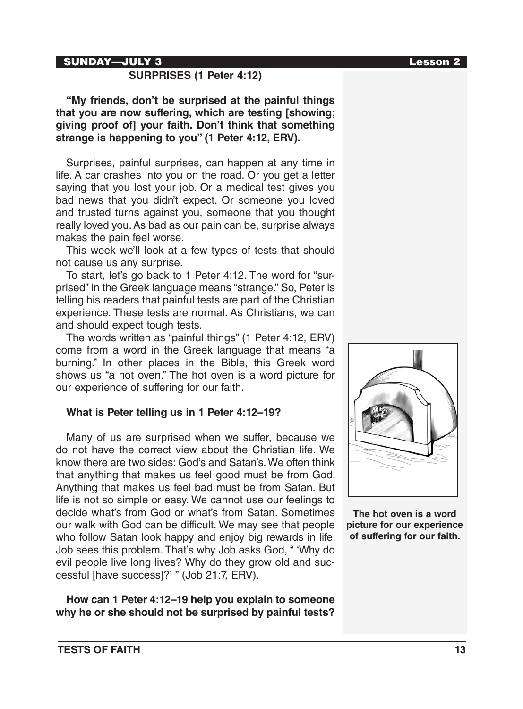#### SUNDAY—JULY 3 Lesson 2

# **SURPRISES (1 Peter 4:12)**

**"My friends, don't be surprised at the painful things that you are now suffering, which are testing [showing; giving proof of] your faith. Don't think that something strange is happening to you" (1 Peter 4:12, ERV).**

Surprises, painful surprises, can happen at any time in life. A car crashes into you on the road. Or you get a letter saying that you lost your job. Or a medical test gives you bad news that you didn't expect. Or someone you loved and trusted turns against you, someone that you thought really loved you. As bad as our pain can be, surprise always makes the pain feel worse.

This week we'll look at a few types of tests that should not cause us any surprise.

To start, let's go back to 1 Peter 4:12. The word for "surprised" in the Greek language means "strange." So, Peter is telling his readers that painful tests are part of the Christian experience. These tests are normal. As Christians, we can and should expect tough tests.

The words written as "painful things" (1 Peter 4:12, ERV) come from a word in the Greek language that means "a burning." In other places in the Bible, this Greek word shows us "a hot oven." The hot oven is a word picture for our experience of suffering for our faith.

#### **What is Peter telling us in 1 Peter 4:12–19?**

Many of us are surprised when we suffer, because we do not have the correct view about the Christian life. We know there are two sides: God's and Satan's. We often think that anything that makes us feel good must be from God. Anything that makes us feel bad must be from Satan. But life is not so simple or easy. We cannot use our feelings to decide what's from God or what's from Satan. Sometimes our walk with God can be difficult. We may see that people who follow Satan look happy and enjoy big rewards in life. Job sees this problem. That's why Job asks God, " 'Why do evil people live long lives? Why do they grow old and successful [have success]?' " (Job 21:7, ERV).

**How can 1 Peter 4:12–19 help you explain to someone why he or she should not be surprised by painful tests?**



**The hot oven is a word picture for our experience of suffering for our faith.**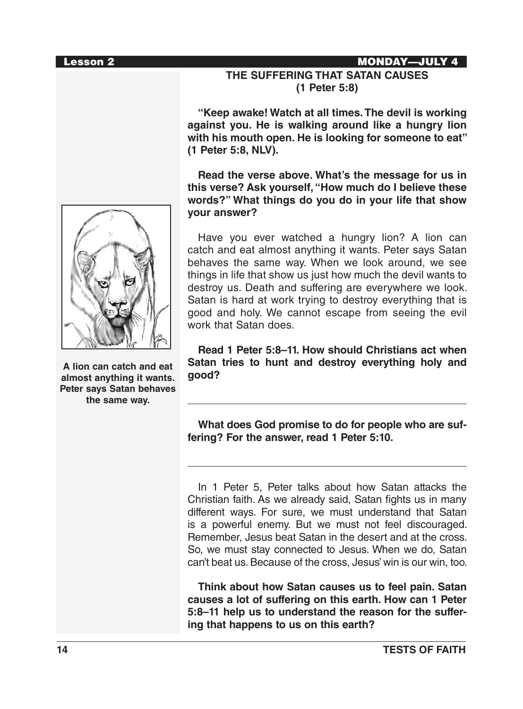#### Lesson 2 MONDAY—JULY 4

# **THE SUFFERING THAT SATAN CAUSES (1 Peter 5:8)**

**"Keep awake! Watch at all times. The devil is working against you. He is walking around like a hungry lion with his mouth open. He is looking for someone to eat" (1 Peter 5:8, NLV).**

**Read the verse above. What's the message for us in this verse? Ask yourself, "How much do I believe these words?" What things do you do in your life that show your answer?**

Have you ever watched a hungry lion? A lion can catch and eat almost anything it wants. Peter says Satan behaves the same way. When we look around, we see things in life that show us just how much the devil wants to destroy us. Death and suffering are everywhere we look. Satan is hard at work trying to destroy everything that is good and holy. We cannot escape from seeing the evil work that Satan does.

**Read 1 Peter 5:8–11. How should Christians act when Satan tries to hunt and destroy everything holy and good?**

**What does God promise to do for people who are suffering? For the answer, read 1 Peter 5:10.**

In 1 Peter 5, Peter talks about how Satan attacks the Christian faith. As we already said, Satan fights us in many different ways. For sure, we must understand that Satan is a powerful enemy. But we must not feel discouraged. Remember, Jesus beat Satan in the desert and at the cross. So, we must stay connected to Jesus. When we do, Satan can't beat us. Because of the cross, Jesus' win is our win, too.

**Think about how Satan causes us to feel pain. Satan causes a lot of suffering on this earth. How can 1 Peter 5:8–11 help us to understand the reason for the suffering that happens to us on this earth?**



**A lion can catch and eat almost anything it wants. Peter says Satan behaves the same way.**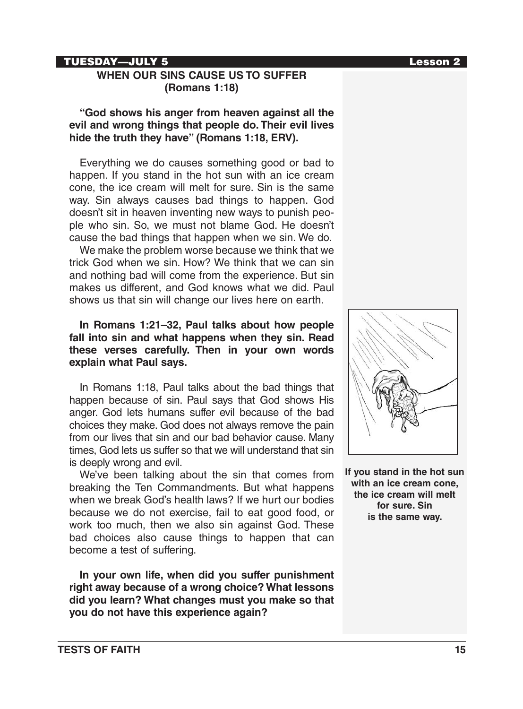#### TUESDAY—JULY 5 Lesson 2

# **WHEN OUR SINS CAUSE US TO SUFFER (Romans 1:18)**

#### **"God shows his anger from heaven against all the evil and wrong things that people do. Their evil lives hide the truth they have" (Romans 1:18, ERV).**

Everything we do causes something good or bad to happen. If you stand in the hot sun with an ice cream cone, the ice cream will melt for sure. Sin is the same way. Sin always causes bad things to happen. God doesn't sit in heaven inventing new ways to punish people who sin. So, we must not blame God. He doesn't cause the bad things that happen when we sin. We do.

We make the problem worse because we think that we trick God when we sin. How? We think that we can sin and nothing bad will come from the experience. But sin makes us different, and God knows what we did. Paul shows us that sin will change our lives here on earth.

## **In Romans 1:21–32, Paul talks about how people fall into sin and what happens when they sin. Read these verses carefully. Then in your own words explain what Paul says.**

In Romans 1:18, Paul talks about the bad things that happen because of sin. Paul says that God shows His anger. God lets humans suffer evil because of the bad choices they make. God does not always remove the pain from our lives that sin and our bad behavior cause. Many times, God lets us suffer so that we will understand that sin is deeply wrong and evil.

We've been talking about the sin that comes from breaking the Ten Commandments. But what happens when we break God's health laws? If we hurt our bodies because we do not exercise, fail to eat good food, or work too much, then we also sin against God. These bad choices also cause things to happen that can become a test of suffering.

**In your own life, when did you suffer punishment right away because of a wrong choice? What lessons did you learn? What changes must you make so that you do not have this experience again?**



**If you stand in the hot sun with an ice cream cone, the ice cream will melt for sure. Sin is the same way.**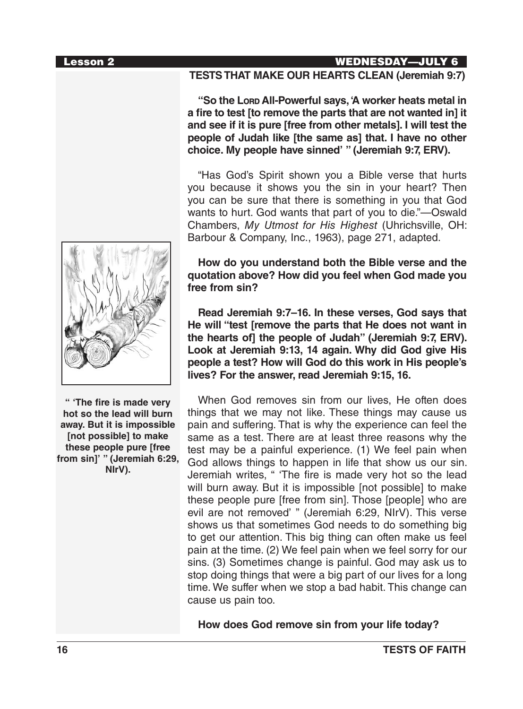#### Lesson 2 WEDNESDAY—JULY 6

#### **TESTS THAT MAKE OUR HEARTS CLEAN (Jeremiah 9:7)**

**"So the Lord All-Powerful says, 'A worker heats metal in a fire to test [to remove the parts that are not wanted in] it and see if it is pure [free from other metals]. I will test the people of Judah like [the same as] that. I have no other choice. My people have sinned' " (Jeremiah 9:7, ERV).**

"Has God's Spirit shown you a Bible verse that hurts you because it shows you the sin in your heart? Then you can be sure that there is something in you that God wants to hurt. God wants that part of you to die."—Oswald Chambers, *My Utmost for His Highest* (Uhrichsville, OH: Barbour & Company, Inc., 1963), page 271, adapted.

#### **How do you understand both the Bible verse and the quotation above? How did you feel when God made you free from sin?**

**Read Jeremiah 9:7–16. In these verses, God says that He will "test [remove the parts that He does not want in the hearts of] the people of Judah" (Jeremiah 9:7, ERV). Look at Jeremiah 9:13, 14 again. Why did God give His people a test? How will God do this work in His people's lives? For the answer, read Jeremiah 9:15, 16.**

When God removes sin from our lives, He often does things that we may not like. These things may cause us pain and suffering. That is why the experience can feel the same as a test. There are at least three reasons why the test may be a painful experience. (1) We feel pain when God allows things to happen in life that show us our sin. Jeremiah writes, " 'The fire is made very hot so the lead will burn away. But it is impossible [not possible] to make these people pure [free from sin]. Those [people] who are evil are not removed' " (Jeremiah 6:29, NIrV). This verse shows us that sometimes God needs to do something big to get our attention. This big thing can often make us feel pain at the time. (2) We feel pain when we feel sorry for our sins. (3) Sometimes change is painful. God may ask us to stop doing things that were a big part of our lives for a long time. We suffer when we stop a bad habit. This change can cause us pain too.

**How does God remove sin from your life today?**



**" 'The fire is made very hot so the lead will burn away. But it is impossible [not possible] to make these people pure [free from sin]' " (Jeremiah 6:29, NIrV).**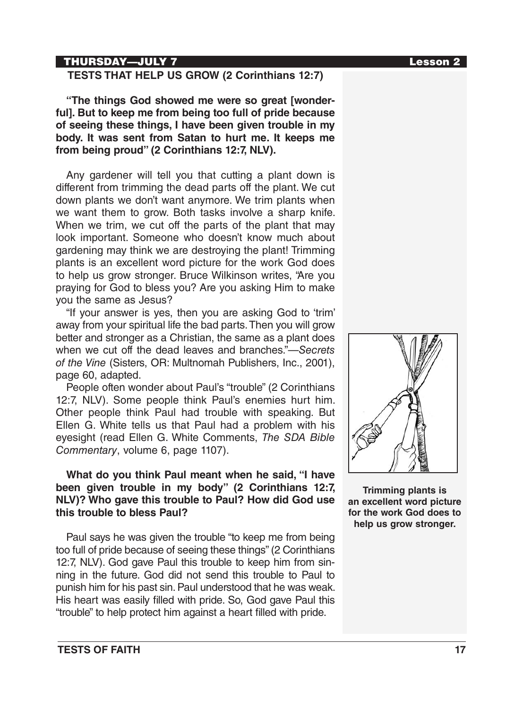## THURSDAY—JULY 7 Lesson 2

# **TESTS THAT HELP US GROW (2 Corinthians 12:7)**

**"The things God showed me were so great [wonderful]. But to keep me from being too full of pride because of seeing these things, I have been given trouble in my body. It was sent from Satan to hurt me. It keeps me from being proud" (2 Corinthians 12:7, NLV).**

Any gardener will tell you that cutting a plant down is different from trimming the dead parts off the plant. We cut down plants we don't want anymore. We trim plants when we want them to grow. Both tasks involve a sharp knife. When we trim, we cut off the parts of the plant that may look important. Someone who doesn't know much about gardening may think we are destroying the plant! Trimming plants is an excellent word picture for the work God does to help us grow stronger. Bruce Wilkinson writes, "Are you praying for God to bless you? Are you asking Him to make you the same as Jesus?

"If your answer is yes, then you are asking God to 'trim' away from your spiritual life the bad parts. Then you will grow better and stronger as a Christian, the same as a plant does when we cut off the dead leaves and branches."—*Secrets of the Vine* (Sisters, OR: Multnomah Publishers, Inc., 2001), page 60, adapted.

People often wonder about Paul's "trouble" (2 Corinthians 12:7, NLV). Some people think Paul's enemies hurt him. Other people think Paul had trouble with speaking. But Ellen G. White tells us that Paul had a problem with his eyesight (read Ellen G. White Comments, *The SDA Bible Commentary*, volume 6, page 1107).

## **What do you think Paul meant when he said, "I have been given trouble in my body" (2 Corinthians 12:7, NLV)? Who gave this trouble to Paul? How did God use this trouble to bless Paul?**

Paul says he was given the trouble "to keep me from being too full of pride because of seeing these things" (2 Corinthians 12:7, NLV). God gave Paul this trouble to keep him from sinning in the future. God did not send this trouble to Paul to punish him for his past sin. Paul understood that he was weak. His heart was easily filled with pride. So, God gave Paul this "trouble" to help protect him against a heart filled with pride.



**Trimming plants is an excellent word picture for the work God does to help us grow stronger.**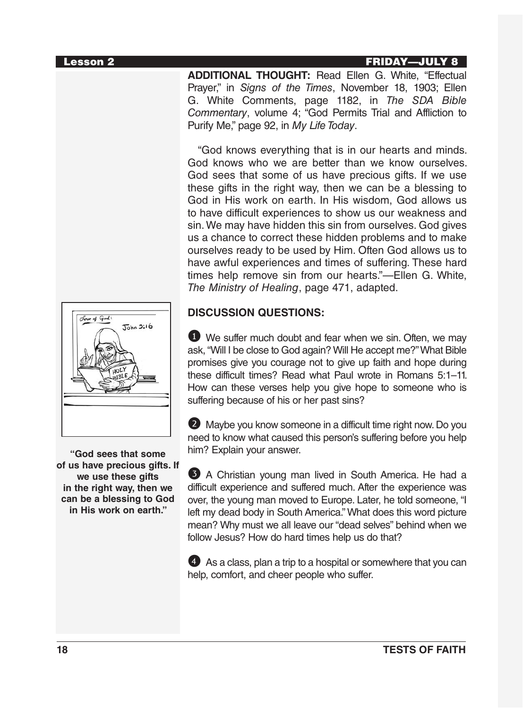#### Lesson 2 FRIDAY—JULY 8

**ADDITIONAL THOUGHT:** Read Ellen G. White, "Effectual Prayer," in *Signs of the Times*, November 18, 1903; Ellen G. White Comments, page 1182, in *The SDA Bible Commentary*, volume 4; "God Permits Trial and Affliction to Purify Me," page 92, in *My Life Today*.

"God knows everything that is in our hearts and minds. God knows who we are better than we know ourselves. God sees that some of us have precious gifts. If we use these gifts in the right way, then we can be a blessing to God in His work on earth. In His wisdom, God allows us to have difficult experiences to show us our weakness and sin. We may have hidden this sin from ourselves. God gives us a chance to correct these hidden problems and to make ourselves ready to be used by Him. Often God allows us to have awful experiences and times of suffering. These hard times help remove sin from our hearts."—Ellen G. White, *The Ministry of Healing*, page 471, adapted.

# Love of God:  $John 3:16$

**"God sees that some of us have precious gifts. If we use these gifts in the right way, then we can be a blessing to God in His work on earth."**

# **DISCUSSION QUESTIONS:**

1 We suffer much doubt and fear when we sin. Often, we may ask, "Will I be close to God again? Will He accept me?" What Bible promises give you courage not to give up faith and hope during these difficult times? Read what Paul wrote in Romans 5:1–11. How can these verses help you give hope to someone who is suffering because of his or her past sins?

2 Maybe you know someone in a difficult time right now. Do you need to know what caused this person's suffering before you help him? Explain your answer.

3 A Christian young man lived in South America. He had a difficult experience and suffered much. After the experience was over, the young man moved to Europe. Later, he told someone, "I left my dead body in South America." What does this word picture mean? Why must we all leave our "dead selves" behind when we follow Jesus? How do hard times help us do that?

4 As a class, plan a trip to a hospital or somewhere that you can help, comfort, and cheer people who suffer.